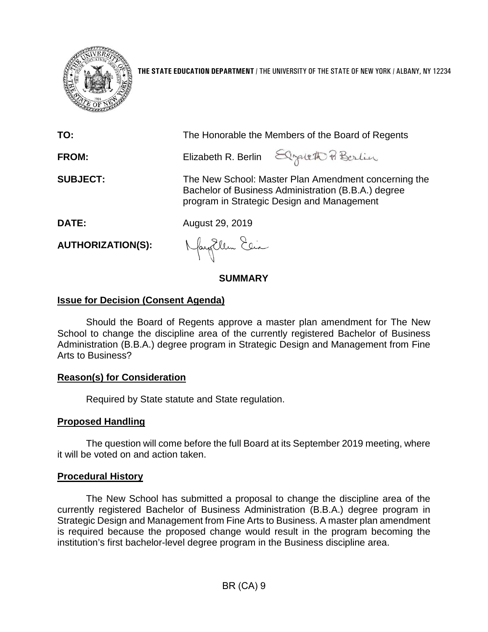

**THE STATE EDUCATION DEPARTMENT** / THE UNIVERSITY OF THE STATE OF NEW YORK / ALBANY, NY 12234

| TO:                      | The Honorable the Members of the Board of Regents                                                                                                         |
|--------------------------|-----------------------------------------------------------------------------------------------------------------------------------------------------------|
| <b>FROM:</b>             | Elizabeth R. Berlin Elizabeth Pi Berlin                                                                                                                   |
| <b>SUBJECT:</b>          | The New School: Master Plan Amendment concerning the<br>Bachelor of Business Administration (B.B.A.) degree<br>program in Strategic Design and Management |
| DATE:                    | August 29, 2019                                                                                                                                           |
| <b>AUTHORIZATION(S):</b> | Nayollen Elia                                                                                                                                             |

# **SUMMARY**

# **Issue for Decision (Consent Agenda)**

Should the Board of Regents approve a master plan amendment for The New School to change the discipline area of the currently registered Bachelor of Business Administration (B.B.A.) degree program in Strategic Design and Management from Fine Arts to Business?

# **Reason(s) for Consideration**

Required by State statute and State regulation.

### **Proposed Handling**

The question will come before the full Board at its September 2019 meeting, where it will be voted on and action taken.

### **Procedural History**

The New School has submitted a proposal to change the discipline area of the currently registered Bachelor of Business Administration (B.B.A.) degree program in Strategic Design and Management from Fine Arts to Business. A master plan amendment is required because the proposed change would result in the program becoming the institution's first bachelor-level degree program in the Business discipline area.